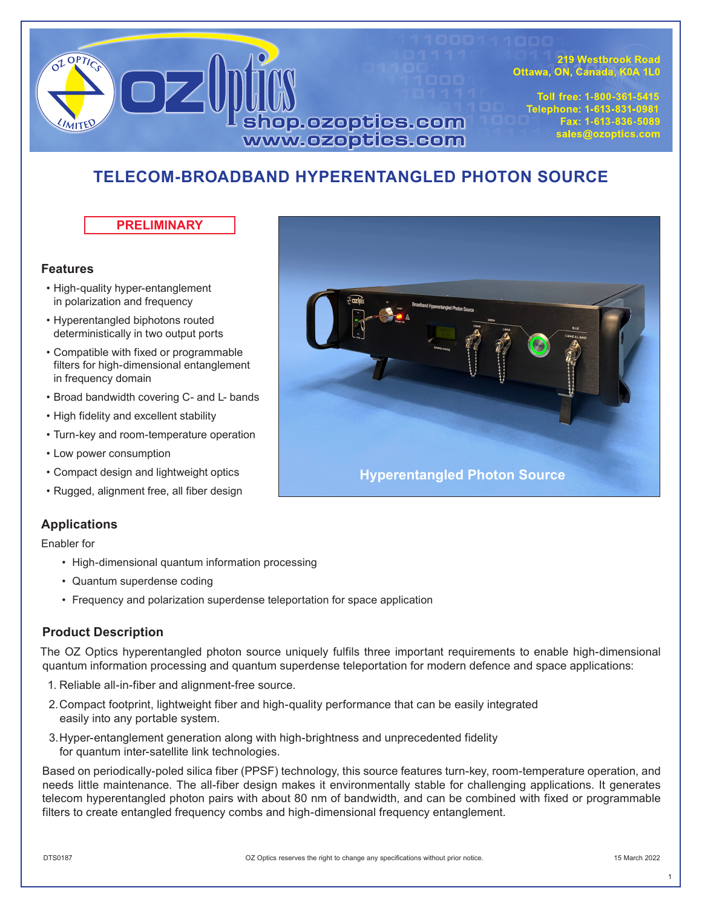

219 Westbrook Road Ottawa, ON, Canada, K0A 1L0

Toll free: 1-800-361-5415 Telephone: 1-613-831-0981 Fax: 1-613-836-5089 sales@ozoptics.com

# **TELECOM-BROADBAND HYPERENTANGLED PHOTON SOURCE**

**PRELIMINARY**

## **Features**

- High-quality hyper-entanglement in polarization and frequency
- Hyperentangled biphotons routed deterministically in two output ports
- Compatible with fixed or programmable filters for high-dimensional entanglement in frequency domain
- Broad bandwidth covering C- and L- bands
- High fidelity and excellent stability
- Turn-key and room-temperature operation
- Low power consumption
- Compact design and lightweight optics
- Rugged, alignment free, all fiber design

# **Applications**

Enabler for

- High-dimensional quantum information processing
- Quantum superdense coding
- Frequency and polarization superdense teleportation for space application

# **Product Description**

The OZ Optics hyperentangled photon source uniquely fulfils three important requirements to enable high-dimensional quantum information processing and quantum superdense teleportation for modern defence and space applications:

- 1. Reliable all-in-fiber and alignment-free source.
- 2.Compact footprint, lightweight fiber and high-quality performance that can be easily integrated easily into any portable system.
- 3.Hyper-entanglement generation along with high-brightness and unprecedented fidelity for quantum inter-satellite link technologies.

Based on periodically-poled silica fiber (PPSF) technology, this source features turn-key, room-temperature operation, and needs little maintenance. The all-fiber design makes it environmentally stable for challenging applications. It generates telecom hyperentangled photon pairs with about 80 nm of bandwidth, and can be combined with fixed or programmable filters to create entangled frequency combs and high-dimensional frequency entanglement.